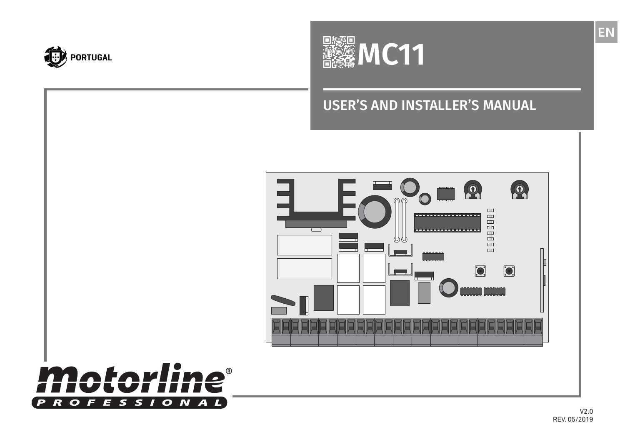



# USER'S AND INSTALLER'S MANUAL





V2.0 REV. 05/2019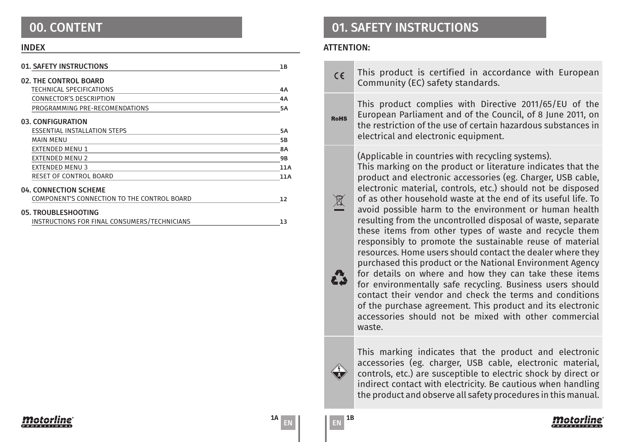# 00. CONTENT

### INDEX

| <b>01. SAFETY INSTRUCTIONS</b>               |           |  |
|----------------------------------------------|-----------|--|
| <b>02. THE CONTROL BOARD</b>                 |           |  |
| TECHNICAL SPECIFICATIONS                     | 4Α        |  |
| CONNECTOR'S DESCRIPTION                      | 4Α        |  |
| PROGRAMMING PRE-RECOMENDATIONS               | <b>5A</b> |  |
| <b>03. CONFIGURATION</b>                     |           |  |
| <b>ESSENTIAL INSTALLATION STEPS</b>          | <b>5A</b> |  |
| <b>MAIN MENU</b>                             | <b>5B</b> |  |
| <b>EXTENDED MENU 1</b>                       | <b>8A</b> |  |
| <b>EXTENDED MENU 2</b>                       | <b>9B</b> |  |
| <b>EXTENDED MENU 3</b>                       | 11A       |  |
| <b>RESET OF CONTROL BOARD</b>                | 11A       |  |
| 04. CONNECTION SCHEME                        |           |  |
| COMPONENT'S CONNECTION TO THE CONTROL BOARD  | 12        |  |
| <b>05. TROUBLESHOOTING</b>                   |           |  |
| INSTRUCTIONS FOR FINAL CONSUMERS/TECHNICIANS | 13        |  |

# 01. SAFETY INSTRUCTIONS

## ATTENTION:

This product is certified in accordance with European  $C \in$ Community (EC) safety standards.

This product complies with Directive 2011/65/EU of the European Parliament and of the Council, of 8 June 2011, on **RoHS** the restriction of the use of certain hazardous substances in electrical and electronic equipment.

(Applicable in countries with recycling systems).

This marking on the product or literature indicates that the product and electronic accessories (eg. Charger, USB cable, electronic material, controls, etc.) should not be disposed of as other household waste at the end of its useful life. To avoid possible harm to the environment or human health resulting from the uncontrolled disposal of waste, separate these items from other types of waste and recycle them responsibly to promote the sustainable reuse of material resources. Home users should contact the dealer where they purchased this product or the National Environment Agency for details on where and how they can take these items for environmentally safe recycling. Business users should contact their vendor and check the terms and conditions of the purchase agreement. This product and its electronic accessories should not be mixed with other commercial waste.



 $\boxtimes$ 

石立

This marking indicates that the product and electronic accessories (eg. charger, USB cable, electronic material, controls, etc.) are susceptible to electric shock by direct or indirect contact with electricity. Be cautious when handling the product and observe all safety procedures in this manual.



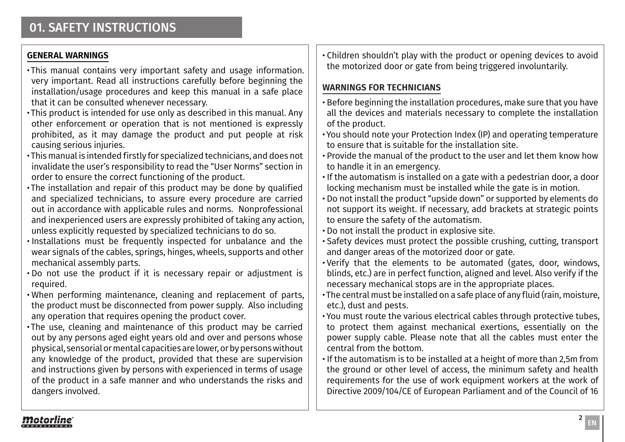## **GENERAL WARNINGS**

- •This manual contains very important safety and usage information. very important. Read all instructions carefully before beginning the installation/usage procedures and keep this manual in a safe place that it can be consulted whenever necessary.
- •This product is intended for use only as described in this manual. Any other enforcement or operation that is not mentioned is expressly prohibited, as it may damage the product and put people at risk causing serious injuries.
- •This manual is intended firstly for specialized technicians, and does not invalidate the user's responsibility to read the "User Norms" section in order to ensure the correct functioning of the product.
- •The installation and repair of this product may be done by qualified and specialized technicians, to assure every procedure are carried out in accordance with applicable rules and norms. Nonprofessional and inexperienced users are expressly prohibited of taking any action, unless explicitly requested by specialized technicians to do so.
- Installations must be frequently inspected for unbalance and the wear signals of the cables, springs, hinges, wheels, supports and other mechanical assembly parts.
- Do not use the product if it is necessary repair or adjustment is required.
- When performing maintenance, cleaning and replacement of parts, the product must be disconnected from power supply. Also including any operation that requires opening the product cover.
- •The use, cleaning and maintenance of this product may be carried out by any persons aged eight years old and over and persons whose physical, sensorial or mental capacities are lower, or by persons without any knowledge of the product, provided that these are supervision and instructions given by persons with experienced in terms of usage of the product in a safe manner and who understands the risks and dangers involved.

• Children shouldn't play with the product or opening devices to avoid the motorized door or gate from being triggered involuntarily.

## **WARNINGS FOR TECHNICIANS**

- Before beginning the installation procedures, make sure that you have all the devices and materials necessary to complete the installation of the product.
- You should note your Protection Index (IP) and operating temperature to ensure that is suitable for the installation site.
- Provide the manual of the product to the user and let them know how to handle it in an emergency.
- If the automatism is installed on a gate with a pedestrian door, a door locking mechanism must be installed while the gate is in motion.
- Do not install the product "upside down" or supported by elements do not support its weight. If necessary, add brackets at strategic points to ensure the safety of the automatism.
- Do not install the product in explosive site.
- Safety devices must protect the possible crushing, cutting, transport and danger areas of the motorized door or gate.
- Verify that the elements to be automated (gates, door, windows, blinds, etc.) are in perfect function, aligned and level. Also verify if the necessary mechanical stops are in the appropriate places.
- •The central must be installed on a safe place of any fluid (rain, moisture, etc.), dust and pests.
- You must route the various electrical cables through protective tubes, to protect them against mechanical exertions, essentially on the power supply cable. Please note that all the cables must enter the central from the bottom.
- If the automatism is to be installed at a height of more than 2,5m from the ground or other level of access, the minimum safety and health requirements for the use of work equipment workers at the work of Directive 2009/104/CE of European Parliament and of the Council of 16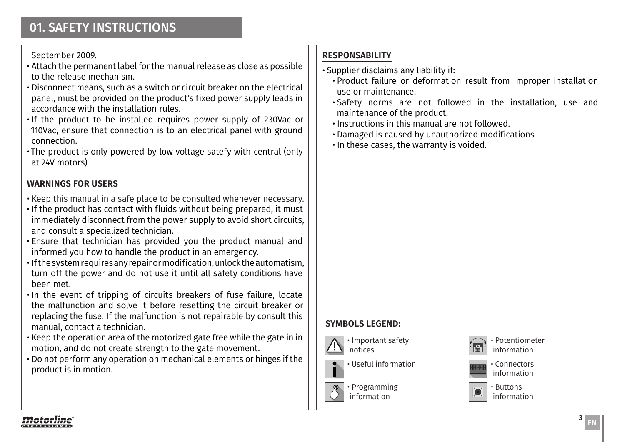## September 2009.

- Attach the permanent label for the manual release as close as possible to the release mechanism.
- Disconnect means, such as a switch or circuit breaker on the electrical panel, must be provided on the product's fixed power supply leads in accordance with the installation rules.
- If the product to be installed requires power supply of 230Vac or 110Vac, ensure that connection is to an electrical panel with ground connection.
- •The product is only powered by low voltage satefy with central (only at 24V motors)

# **WARNINGS FOR USERS**

- Keep this manual in a safe place to be consulted whenever necessary.
- If the product has contact with fluids without being prepared, it must immediately disconnect from the power supply to avoid short circuits, and consult a specialized technician.
- Ensure that technician has provided you the product manual and informed you how to handle the product in an emergency.
- If the system requires any repair or modification, unlock the automatism, turn off the power and do not use it until all safety conditions have been met.
- In the event of tripping of circuits breakers of fuse failure, locate the malfunction and solve it before resetting the circuit breaker or replacing the fuse. If the malfunction is not repairable by consult this manual, contact a technician.
- Keep the operation area of the motorized gate free while the gate in in motion, and do not create strength to the gate movement.
- Do not perform any operation on mechanical elements or hinges if the product is in motion.

# **RESPONSABILITY**

- Supplier disclaims any liability if:
	- Product failure or deformation result from improper installation use or maintenance!
	- Safety norms are not followed in the installation, use and maintenance of the product.
	- Instructions in this manual are not followed.
	- Damaged is caused by unauthorized modifications
	- In these cases, the warranty is voided.

## **SYMBOLS LEGEND:**













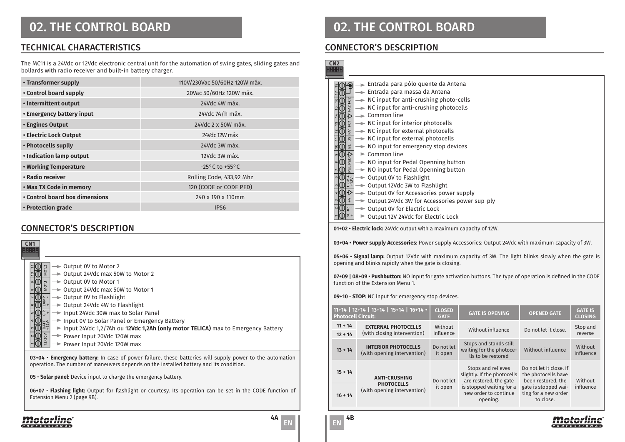# 02. THE CONTROL BOARD

## TECHNICAL CHARACTERISTICS CONNECTOR'S DESCRIPTION

The MC11 is a 24Vdc or 12Vdc electronic central unit for the automation of swing gates, sliding gates and bollards with radio receiver and built-in battery charger.

| • Transformer supply           | 110V/230Vac 50/60Hz 120W máx.      |
|--------------------------------|------------------------------------|
| • Control board supply         | 20Vac 50/60Hz 120W máx.            |
| • Intermittent output          | 24Vdc 4W máx.                      |
| • Emergency battery input      | 24Vdc 7A/h máx.                    |
| <b>· Engines Output</b>        | 24Vdc 2 x 50W máx.                 |
| • Electric Lock Output         | 24Vdc 12W máx                      |
| • Photocells suplly            | 24Vdc 3W máx.                      |
| • Indication lamp output       | 12Vdc 3W máx.                      |
| • Working Temperature          | $-25^{\circ}$ C to $+55^{\circ}$ C |
| • Radio receiver               | Rolling Code, 433,92 Mhz           |
| • Max TX Code in memory        | 120 (CODE or CODE PED)             |
| • Control board box dimensions | 240 x 190 x 110mm                  |
| • Protection grade             | <b>IP56</b>                        |

## CONNECTOR'S DESCRIPTION

| CN1 |                                                                                                                                                                                                                                                                                                                                                                                                                                                                                            |
|-----|--------------------------------------------------------------------------------------------------------------------------------------------------------------------------------------------------------------------------------------------------------------------------------------------------------------------------------------------------------------------------------------------------------------------------------------------------------------------------------------------|
|     | Output 0V to Motor 2<br>MOT <sub>2</sub><br>$\rightarrow$ Output 24Vdc max 50W to Motor 2<br>Output 0V to Motor 1<br>$\rightarrow$ Output 24Vdc max 50W to Motor 1<br>Output OV to Flashlight<br>Output 24Vdc 4W to Flashlight<br>Input 24Vdc 30W max to Solar Panel<br>$\rightarrow$ Input OV to Solar Panel or Emergency Battery<br>→ Input 24Vdc 1,2/7Ah ou <b>12Vdc 1,2Ah (only motor TELICA)</b> max to Emergency Battery<br>Power Input 20Vdc 120W max<br>Power Input 20Vdc 120W max |
|     | $03+04$ • <b>Emergency hattery</b> In case of nower failure these hatteries will sunnly nower to the automation                                                                                                                                                                                                                                                                                                                                                                            |

**Emergency battery:** In case of power failure, these batteries will supply power to the automation operation. The number of maneuvers depends on the installed battery and its condition.

**05** • **Solar panel:** Device input to charge the emergency battery.

**06**+**07** • **Flashing light:** Output for flashlight or courtesy. Its operation can be set in the CODE function of Extension Menu 2 (page 9B).

# <u>motorline</u>

EN EN

# 02. THE CONTROL BOARD

| CN <sub>2</sub><br><b>IEIEIEIE</b>                                                                                                                                                                                                                                                                                                                                                                                                                                                                                                                                                                                                                                                                                                                                                                                                                                                                                                                                                                                                                                                                                                                                                                                                                                                                                                                      |                                                                                                       |                              |                                                                             |                                                                      |                                  |
|---------------------------------------------------------------------------------------------------------------------------------------------------------------------------------------------------------------------------------------------------------------------------------------------------------------------------------------------------------------------------------------------------------------------------------------------------------------------------------------------------------------------------------------------------------------------------------------------------------------------------------------------------------------------------------------------------------------------------------------------------------------------------------------------------------------------------------------------------------------------------------------------------------------------------------------------------------------------------------------------------------------------------------------------------------------------------------------------------------------------------------------------------------------------------------------------------------------------------------------------------------------------------------------------------------------------------------------------------------|-------------------------------------------------------------------------------------------------------|------------------------------|-----------------------------------------------------------------------------|----------------------------------------------------------------------|----------------------------------|
| —► Entrada para pólo quente da Antena<br>- Entrada para massa da Antena<br>ጠ<br>$\rightarrow$ NC input for anti-crushing photo-cells<br>$\overline{\mathbb{O}}$ $\frac{\mathbb{S}}{\mathbb{E}}$<br>$\rightarrow$ NC input for anti-crushing photocells<br>FA2<br>$\overline{\mathbb{O}}$<br>$ \overline{\triangleright}  \rightarrow$ Common line<br>$\overline{\mathbb{O}}$ $\overline{\mathbb{E}}$<br>$\rightarrow$ NC input for interior photocells<br>$\overline{\Phi}$<br>$\rightarrow$ NC input for external photocells<br>FA1<br>$\overline{\bigoplus}$ $\mathbb{Z}$<br>$\rightarrow$ NC input for external photocells<br>$\overline{\mathbb{D}}$ a<br>$\rightarrow$ NO input for emergency stop devices<br>$\textcircled{1}\triangleright\rightarrow$ Common line<br>$\Phi^{\text{eff}}$<br>$\rightarrow$ NO input for Pedal Openning button<br>$\overline{\mathbb{O}}$<br>ן ≣<br>$\rightarrow$ NO input for Pedal Openning button<br><b>OBEX</b><br>$\rightarrow$ Output OV to Flashlight<br>$\rightarrow$ Output 12Vdc 3W to Flashlight<br>$\boxed{\mathbb{O}}$ $\rightarrow$ Output OV for Accessories power supply<br>$\overline{\mathbb{O}}$ $\geq$<br>$\rightarrow$ Output 24Vdc 3W for Accessories power sup-ply<br>$\mathbb{O}$ i<br>→ Output OV for Electric Lock<br>$ \overline{\mathbb{B}} $<br>→ Output 12V 24Vdc for Electric Lock |                                                                                                       |                              |                                                                             |                                                                      |                                  |
|                                                                                                                                                                                                                                                                                                                                                                                                                                                                                                                                                                                                                                                                                                                                                                                                                                                                                                                                                                                                                                                                                                                                                                                                                                                                                                                                                         | <b>01+02 • Electric lock:</b> 24Vdc output with a maximum capacity of 12W.                            |                              |                                                                             |                                                                      |                                  |
|                                                                                                                                                                                                                                                                                                                                                                                                                                                                                                                                                                                                                                                                                                                                                                                                                                                                                                                                                                                                                                                                                                                                                                                                                                                                                                                                                         | 03+04 . Power supply Accessories: Power supply Accessories: Output 24Vdc with maximum capacity of 3W. |                              |                                                                             |                                                                      |                                  |
| 05+06 . Signal lamp: Output 12Vdc with maximum capacity of 3W. The light blinks slowly when the gate is<br>opening and blinks rapidly when the gate is closing.                                                                                                                                                                                                                                                                                                                                                                                                                                                                                                                                                                                                                                                                                                                                                                                                                                                                                                                                                                                                                                                                                                                                                                                         |                                                                                                       |                              |                                                                             |                                                                      |                                  |
| 07+09   08+09 • Pushbutton: NO input for gate activation buttons. The type of operation is defined in the CODE<br>function of the Extension Menu 1.                                                                                                                                                                                                                                                                                                                                                                                                                                                                                                                                                                                                                                                                                                                                                                                                                                                                                                                                                                                                                                                                                                                                                                                                     |                                                                                                       |                              |                                                                             |                                                                      |                                  |
|                                                                                                                                                                                                                                                                                                                                                                                                                                                                                                                                                                                                                                                                                                                                                                                                                                                                                                                                                                                                                                                                                                                                                                                                                                                                                                                                                         | $09+10 \cdot$ STOP: NC input for emergency stop devices.                                              |                              |                                                                             |                                                                      |                                  |
| <b>Photocell Circuit:</b>                                                                                                                                                                                                                                                                                                                                                                                                                                                                                                                                                                                                                                                                                                                                                                                                                                                                                                                                                                                                                                                                                                                                                                                                                                                                                                                               | 11+14   12+14   13+14   15+14   16+14 ·                                                               | <b>CLOSED</b><br><b>GATE</b> | <b>GATE IS OPENING</b>                                                      | <b>OPENED GATE</b>                                                   | <b>GATE IS</b><br><b>CLOSING</b> |
| $11 + 14$<br>$12 + 14$                                                                                                                                                                                                                                                                                                                                                                                                                                                                                                                                                                                                                                                                                                                                                                                                                                                                                                                                                                                                                                                                                                                                                                                                                                                                                                                                  | <b>EXTERNAL PHOTOCELLS</b><br>(with closing intervention)                                             | Without<br>influence         | Without influence                                                           | Do not let it close.                                                 | Stop and<br>reverse              |
| $13 + 14$                                                                                                                                                                                                                                                                                                                                                                                                                                                                                                                                                                                                                                                                                                                                                                                                                                                                                                                                                                                                                                                                                                                                                                                                                                                                                                                                               | <b>INTERIOR PHOTOCELLS</b><br>(with opening intervention)                                             | Do not let<br>it open        | Stops and stands still<br>waiting for the photoce-<br>lls to be restored    | Without influence                                                    | Without<br>influence             |
| $15 + 14$                                                                                                                                                                                                                                                                                                                                                                                                                                                                                                                                                                                                                                                                                                                                                                                                                                                                                                                                                                                                                                                                                                                                                                                                                                                                                                                                               | <b>ANTI-CRUSHING</b>                                                                                  | Do not let                   | Stops and relieves<br>slightly. If the photocells<br>are restored, the gate | Do not let it close. If<br>the photocells have<br>been restored, the | Without                          |



**16 + 14**

**PHOTOCELLS** (with opening intervention)

it open

is stopped waiting for a gate is stopped wainew order to continue ting for a new order

to close.

influence

Motorline

opening.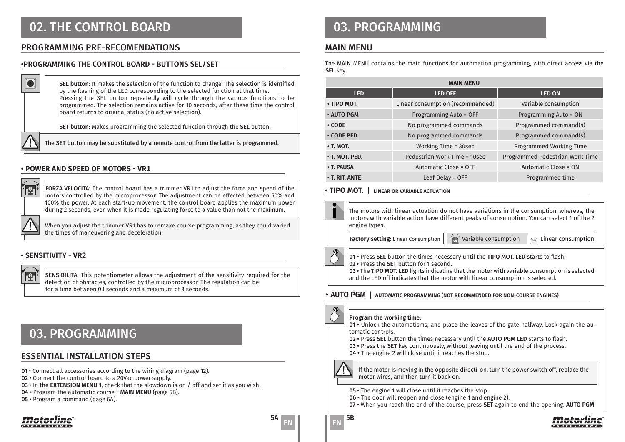# 02. THE CONTROL BOARD

## PROGRAMMING PRE-RECOMENDATIONS

#### **•PROGRAMMING THE CONTROL BOARD - BUTTONS SEL/SET**



**SEL button**: It makes the selection of the function to change. The selection is identified by the flashing of the LED corresponding to the selected function at that time. Pressing the SEL button repeatedly will cycle through the various functions to be programmed. The selection remains active for 10 seconds, after these time the control board returns to original status (no active selection).

**SET button:** Makes programming the selected function through the **SEL** button.



The SET button may be substituted by a remote control from the latter is programmed.

#### **• POWER AND SPEED OF MOTORS - VR1**

19 FORZA VELOCITA: The control board has a trimmer VR1 to adjust the force and speed of the motors controlled by the microprocessor. The adjustment can be effected between 50% and 100% the power. At each start-up movement, the control board applies the maximum power during 2 seconds, even when it is made regulating force to a value than not the maximum.

When you adjust the trimmer VR1 has to remake course programming, as they could varied the times of maneuvering and deceleration.

#### **• SENSITIVITY - VR2**



SENSIBILITA: This potentiometer allows the adjustment of the sensitivity required for the detection of obstacles, controlled by the microprocessor. The regulation can be for a time between 0.1 seconds and a maximum of 3 seconds.

# 03. PROGRAMMING

## ESSENTIAL INSTALLATION STEPS

- **01**  Connect all accessories according to the wiring diagram (page 12).
- **02**  Connect the control board to a 20Vac power supply.
- **03**  In the **EXTENSION MENU 1**, check that the slowdown is on / off and set it as you wish.
- **04**  Program the automatic course **MAIN MENU** (page 5B).
- **05**  Program a command (page 6A).

# 03. PROGRAMMING

## MAIN MENU

The MAIN MENU contains the main functions for automation programming, with direct access via the **SEL** key.

| <b>MAIN MENU</b>                       |                                       |                                 |  |
|----------------------------------------|---------------------------------------|---------------------------------|--|
| <b>LED</b>                             | <b>LED OFF</b>                        | <b>LED ON</b>                   |  |
| • TIPO MOT.                            | Linear consumption (recommended)      | Variable consumption            |  |
| • AUTO PGM                             | Programming Auto = OFF                | Programming Auto = ON           |  |
| No programmed commands<br>$\cdot$ CODE |                                       | Programmed command(s)           |  |
| • CODE PED.                            | No programmed commands                | Programmed command(s)           |  |
| $\cdot$ T. MOT.                        | Working Time = 30sec                  | Programmed Working Time         |  |
| • T. MOT. PED.                         | Pedestrian Work Time = 10sec          | Programmed Pedestrian Work Time |  |
| • T. PAUSA                             | Automatic Close = OFF                 | Automatic Close = ON            |  |
| • T. RIT. ANTE                         | Programmed time<br>Leaf Delay = $OFF$ |                                 |  |

#### **• TIPO MOT. | LINEAR OR VARIABLE ACTUATION**

The motors with linear actuation do not have variations in the consumption, whereas, the motors with variable action have different peaks of consumption. You can select 1 of the 2 engine types.

**Factory setting:** Linear Consumption

```
\mathbb{R} Variable consumption \mathbb{R} Linear consumption
```


⋒

**01 •** Press **SEL** button the times necessary until the **TIPO MOT. LED** starts to flash. **02 •** Press the **SET** button for 1 second.

**03 •** The **TIPO MOT. LED** lights indicating that the motor with variable consumption is selected and the LED off indicates that the motor with linear consumption is selected.

#### • **AUTO PGM** | **AUTOMATIC PROGRAMMING (NOT RECOMMENDED FOR NON-COURSE ENGINES)**

#### **Program the working time:**

**01 •** Unlock the automatisms, and place the leaves of the gate halfway. Lock again the automatic controls.

- **02 •** Press **SEL** button the times necessary until the **AUTO PGM LED** starts to flash.
- **03 •** Press the **SET** key continuously, without leaving until the end of the process.
- **04 •** The engine 2 will close until it reaches the stop.



If the motor is moving in the opposite directi-on, turn the power switch off, replace the motor wires, and then turn it back on.

- **05** The engine 1 will close until it reaches the stop.
- **06** The door will reopen and close (engine 1 and engine 2).
- **07** When you reach the end of the course, press **SET** again to end the opening. **AUTO PGM**



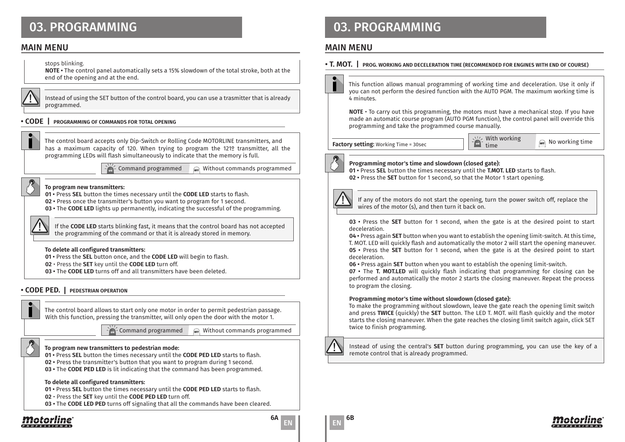## MAIN MENU MAIN MENU

#### stops blinking.

**NOTE •** The control panel automatically sets a 15% slowdown of the total stroke, both at the end of the opening and at the end.



Instead of using the SET button of the control board, you can use a trasmitter that is already programmed.

#### **• CODE | PROGRAMMING OF COMMANDS FOR TOTAL OPENING**



The control board accepts only Dip-Switch or Rolling Code MOTORLINE transmitters, and has a maximum capacity of 120. When trying to program the 1212 transmitter, all the programming LEDs will flash simultaneously to indicate that the memory is full.

Command programmed  $\sqrt{G_{\text{F}}$  Without commands programmed

#### **To program new transmitters:**

**01 •** Press **SEL** button the times necessary until the **CODE LED** starts to flash.

- **02 •** Press once the transmitter's button you want to program for 1 second.
- **03 •** The **CODE LED** lights up permanently, indicating the successful of the programming.



If the **CODE LED** starts blinking fast, it means that the control board has not accepted the programming of the command or that it is already stored in memory.

#### **To delete all configured transmitters:**

**01 •** Press the **SEL** button once, and the **CODE LED** will begin to flash.

- **02** Press the **SET** key until the **CODE LED** turn off.
- **03 •** The **CODE LED** turns off and all transmitters have been deleted.

### **• CODE PED.** | **PEDESTRIAN OPERATION**



The control board allows to start only one motor in order to permit pedestrian passage. With this function, pressing the transmitter, will only open the door with the motor 1.

 $\epsilon$  Command programmed  $\epsilon$  Geg Without commands programmed

Motorline®

#### **To program new transmitters to pedestrian mode:**

- **01 •** Press **SEL** button the times necessary until the **CODE PED LED** starts to flash.
- **02 •** Press the transmitter's button that you want to program during 1 second.
- **03 •** The **CODE PED LED** is lit indicating that the command has been programmed.

#### **To delete all configured transmitters:**

- **01 •** Press **SEL** button the times necessary until the **CODE PED LED** starts to flash.
- **02** Press the **SET** key until the **CODE PED LED** turn off.
- **03** The **CODE LED PED** turns off signaling that all the commands have been cleared.

# 03. PROGRAMMING

#### **• T. MOT. | PROG. WORKING AND DECELERATION TIME (RECOMMENDED FOR ENGINES WITH END OF COURSE)**

This function allows manual programming of working time and deceleration. Use it only if you can not perform the desired function with the AUTO PGM. The maximum working time is 4 minutes.

**NOTE** • To carry out this programming, the motors must have a mechanical stop. If you have made an automatic course program (AUTO PGM function), the control panel will override this programming and take the programmed course manually.

**Factory setting:** Working Time = 30sec

 $\frac{N!}{N}$  With working

**OFFI** No working time



#### **Programming motor's time and slowdown (closed gate):**

**01 •** Press **SEL** button the times necessary until the **T.MOT. LED** starts to flash. **02 •** Press the **SET** button for 1 second, so that the Motor 1 start opening.



If any of the motors do not start the opening, turn the power switch off, replace the wires of the motor (s), and then turn it back on.

**03 •** Press the **SET** button for 1 second, when the gate is at the desired point to start deceleration.

**04 •** Press again **SET** button when you want to establish the opening limit-switch. At this time, T. MOT. LED will quickly flash and automatically the motor 2 will start the opening maneuver. **05 •** Press the **SET** button for 1 second, when the gate is at the desired point to start deceleration.

**06 •** Press again **SET** button when you want to establish the opening limit-switch.

**07 •** The **T. MOT.LED** will quickly flash indicating that programming for closing can be performed and automatically the motor 2 starts the closing maneuver. Repeat the process to program the closing.

#### **Programming motor's time without slowdown (closed gate):**

To make the programming without slowdown, leave the gate reach the opening limit switch and press **TWICE** (quickly) the **SET** button. The LED T. MOT. will flash quickly and the motor starts the closing maneuver. When the gate reaches the closing limit switch again, click SET twice to finish programming.



Instead of using the central's **SET** button during programming, you can use the key of a remote control that is already programmed.



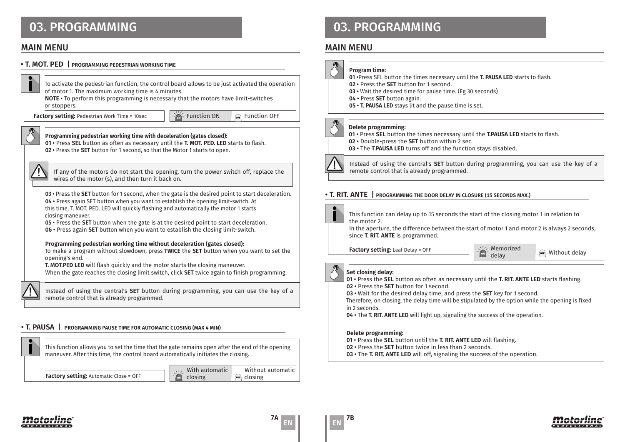#### **• T. MOT. PED | PROGRAMMING PEDESTRIAN WORKING TIME**



#### **• T. PAUSA | PROGRAMMING PAUSE TIME FOR AUTOMATIC CLOSING (MAX 4 MIN)**



This function allows you to set the time that the gate remains open after the end of the opening maneuver. After this time, the control board automatically initiates the closing.

**Factory setting:** Automatic Close = OFF

With automatic closing Without automatic **OFF** closing

# 03. PROGRAMMING

## MAIN MENU MAIN MENU

### **Program time:**

**01 •**Press SEL button the times necessary until the **T. PAUSA LED** starts to flash. **02 •** Press the **SET** button for 1 second. **03 •** Wait the desired time for pause time. (Eg 30 seconds) **04 •** Press **SET** button again.

**05 • T. PAUSA LED** stays lit and the pause time is set.

### **Delete programming:**

**01 •** Press **SEL** button the times necessary until the **T.PAUSA LED** starts to flash. **02 •** Double-press the **SET** button within 2 sec.

**03 •** The **T.PAUSA LED** turns off and the function stays disabled.



Instead of using the central's **SET** button during programming, you can use the key of a remote control that is already programmed.

#### **• T. RIT. ANTE | PROGRAMMING THE DOOR DELAY IN CLOSURE (15 SECONDS MAX.)**



## **Set closing delay:**

**01 •** Press the **SEL** button as often as necessary until the **T. RIT. ANTE LED** starts flashing. **02 •** Press the **SET** button for 1 second.

**03 •** Wait for the desired delay time, and press the **SET** key for 1 second.

Therefore, on closing, the delay time will be stipulated by the option while the opening is fixed in 2 seconds.

**04 •** The **T. RIT. ANTE LED** will light up, signaling the success of the operation.

#### **Delete programming:**

**01 •** Press the **SEL** button until the **T. RIT. ANTE LED** will flashing.

**02 •** Press the **SET** button twice in less than 2 seconds.

**03 •** The **T. RIT. ANTE LED** will off, signaling the success of the operation.







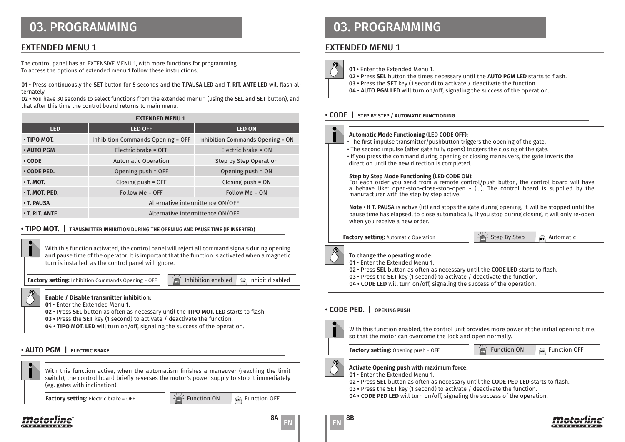## EXTENDED MENU 1

The control panel has an EXTENSIVE MENU 1, with more functions for programming. To access the options of extended menu 1 follow these instructions:

**01 •** Press continuously the **SET** button for 5 seconds and the **T.PAUSA LED** and **T. RIT. ANTE LED** will flash alternately.

**02 •** You have 30 seconds to select functions from the extended menu 1 (using the **SEL** and **SET** button), and that after this time the control board returns to main menu.

| <b>EXTENDED MENU 1</b> |                                   |                                  |  |
|------------------------|-----------------------------------|----------------------------------|--|
| <b>LED</b>             | <b>LED OFF</b>                    | <b>LED ON</b>                    |  |
| $\cdot$ TIPO MOT.      | Inhibition Commands Opening = OFF | Inhibition Commands Opening = ON |  |
| • AUTO PGM             | Electric brake = OFF              | Electric brake = $ON$            |  |
| $\cdot$ CODE           | <b>Automatic Operation</b>        | Step by Step Operation           |  |
| $\cdot$ CODE PED.      | Opening push = OFF                | Opening push = ON                |  |
| $\cdot$ T. MOT.        | Closing $push = OFF$              | Closing $push = ON$              |  |
| • T. MOT. PED.         | Follow $Me = OFF$                 | Follow Me = $ON$                 |  |
| • T. PAUSA             | Alternative intermittence ON/OFF  |                                  |  |
| $\cdot$ T. RIT. ANTE   | Alternative intermittence ON/OFF  |                                  |  |

#### **• TIPO MOT. | TRANSMITTER INHIBITION DURING THE OPENING AND PAUSE TIME (IF INSERTED)**

With this function activated, the control panel will reject all command signals during opening and pause time of the operator. It is important that the function is activated when a magnetic turn is installed, as the control panel will ignore.

**Factory setting:** Inhibition Commands Opening = OFF **Individual Individual In** Inhibit disabled

#### **Enable / Disable transmitter inhibition:**

**01 •** Enter the Extended Menu 1.

**02 •** Press **SEL** button as often as necessary until the **TIPO MOT. LED** starts to flash.

**03 •** Press the **SET** key (1 second) to activate / deactivate the function.

**04 • TIPO MOT. LED** will turn on/off, signaling the success of the operation.

## **• AUTO PGM | ELECTRIC BRAKE**



П

With this function active, when the automatism finishes a maneuver (reaching the limit switch), the control board briefly reverses the motor's power supply to stop it immediately (eg. gates with inclination).

**Factory setting:** Electric brake = OFF Function ON Function OFF

# Motorline

**8A 1 8B** 

# 03. PROGRAMMING

## EXTENDED MENU 1

## **01 •** Enter the Extended Menu 1.

**02 •** Press **SEL** button the times necessary until the **AUTO PGM LED** starts to flash. **03 •** Press the **SET** key (1 second) to activate / deactivate the function.

**04 • AUTO PGM LED** will turn on/off, signaling the success of the operation..

#### **• CODE | STEP BY STEP / AUTOMATIC FUNCTIONING**



#### **Automatic Mode Functioning (LED CODE OFF):**

- The first impulse transmitter/pushbutton triggers the opening of the gate.
- The second impulse (after gate fully opens) triggers the closing of the gate. • If you press the command during opening or closing maneuvers, the gate inverts the direction until the new direction is completed.

#### **Step by Step Mode Functioning (LED CODE ON):**

For each order you send from a remote control/push button, the control board will have a behave like: open-stop-close-stop-open - (...). The control board is supplied by the manufacturer with the step by step active.

**Note •** If **T. PAUSA** is active (lit) and stops the gate during opening, it will be stopped until the pause time has elapsed, to close automatically. If you stop during closing, it will only re-open when you receive a new order.

**Factory setting:** Automatic Operation

Step By Step <u>Gee</u> Automatic

#### **To change the operating mode:**

**01 •** Enter the Extended Menu 1.

- **02 •** Press **SEL** button as often as necessary until the **CODE LED** starts to flash.
- **03 •** Press the **SET** key (1 second) to activate / deactivate the function.
- **04 • CODE LED** will turn on/off, signaling the success of the operation.

### **• CODE PED. | OPENING PUSH**





- **Activate Opening push with maximum force: 01 •** Enter the Extended Menu 1.
- **02 •** Press **SEL** button as often as necessary until the **CODE PED LED** starts to flash.
- **03 •** Press the **SET** key (1 second) to activate / deactivate the function.
- **04 • CODE PED LED** will turn on/off, signaling the success of the operation.



EN EN

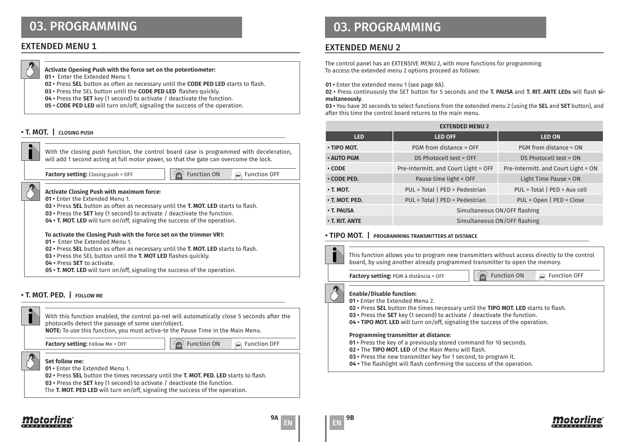## EXTENDED MENU 1

#### **Activate Opening Push with the force set on the potentiometer:**

- **01 •** Enter the Extended Menu 1.
- **02 •** Press **SEL** button as often as necessary until the **CODE PED LED** starts to flash.
- **03 •** Press the SEL button until the **CODE PED LED** flashes quickly.
- **04** Press the **SET** key (1 second) to activate / deactivate the function.
- **05 • CODE PED LED** will turn on/off, signaling the success of the operation.

#### **• T. MOT. | CLOSING PUSH**



### **• T. MOT. PED. | FOLLOW ME**



**01 •** Enter the Extended Menu 1.

- **02 •** Press **SEL** button the times necessary until the **T. MOT. PED. LED** starts to flash.
- **03 •** Press the **SET** key (1 second) to activate / deactivate the function.
- The **T. MOT. PED LED** will turn on/off, signaling the success of the operation.

# 03. PROGRAMMING

## EXTENDED MENU 2

The control panel has an EXTENSIVE MENU 2, with more functions for programming. To access the extended menu 2 options proceed as follows:

**01 •** Enter the extended menu 1 (see page 8A).

**02 •** Press continuously the SET button for 5 seconds and the **T. PAUSA** and **T. RIT. ANTE LEDs** will flash **simultaneously**.

**03 •** You have 30 seconds to select functions from the extended menu 2 (using the **SEL** and **SET** button), and after this time the control board returns to the main menu.

| <b>EXTENDED MENU 2</b> |                                      |                                     |  |
|------------------------|--------------------------------------|-------------------------------------|--|
| <b>LED</b>             | <b>LED OFF</b>                       | <b>LED ON</b>                       |  |
| • TIPO MOT.            | PGM from distance = OFF              | $PGM$ from distance = $ON$          |  |
| <b>. AUTO PGM</b>      | DS Photocell test = OFF              | DS Photocell test = ON              |  |
| $\cdot$ CODE           | Pre-Intermitt. and Court Light = OFF | Pre-Intermitt. and Court Light = ON |  |
| • CODE PED.            | Pause time light = OFF               | Light Time Pause = ON               |  |
| $\cdot$ T. MOT.        | PUL = Total   PED = Pedestrian       | $PUL = Total   PED = Aux cell$      |  |
| • T. MOT. PED.         | PUL = Total   PED = Pedestrian       | $PUL = Open   PED = Close$          |  |
| • T. PAUSA             | Simultaneous ON/OFF flashing         |                                     |  |
| $\cdot$ T. RIT. ANTE   | Simultaneous ON/OFF flashing         |                                     |  |

#### **• TIPO MOT. | PROGRAMMING TRANSMITTERS AT DISTANCE**

This function allows you to program new transmitters without access directly to the control board, by using another already programmed transmitter to open the memory.

**Factory setting:** PGM à distância = OFF

Function ON **Function OFF** 

## **Enable/Disable function:**

- **01 •** Enter the Extended Menu 2.
- **02 •** Press **SEL** button the times necessary until the **TIPO MOT. LED** starts to flash.
- **03 •** Press the **SET** key (1 second) to activate / deactivate the function.
- **04 • TIPO MOT. LED** will turn on/off, signaling the success of the operation.

#### **Programming transmitter at distance:**

- **01 •** Press the key of a previously stored command for 10 seconds.
- **02 •** The **TIPO MOT. LED** of the Main Menu will flash.
- **03 •** Press the new transmitter key for 1 second, to program it.
- **04 •** The flashlight will flash confirming the success of the operation.



**9A** EN  $\left\| \begin{matrix} 1 \end{matrix} \right\|$  EN  $\left\| \begin{matrix} 9B \end{matrix} \right\|$ 



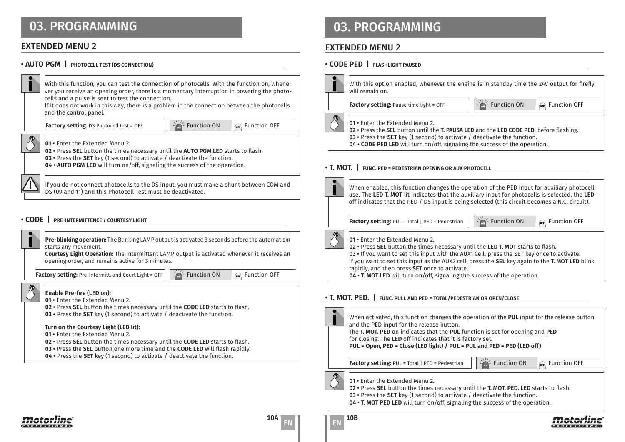## EXTENDED MENU 2

#### **• AUTO PGM | PHOTOCELL TEST (DS CONNECTION)**



П

With this function, you can test the connection of photocells. With the function on, whenever you receive an opening order, there is a momentary interruption in powering the photocells and a pulse is sent to test the connection.

If it does not work in this way, there is a problem in the connection between the photocells and the control panel.

**Factory setting:** DS Photocell test = OFF

```
Function ON Function OFF
```
**02 •** Press **SEL** button the times necessary until the **AUTO PGM LED** starts to flash. **03 •** Press the **SET** key (1 second) to activate / deactivate the function. **04 • AUTO PGM LED** will turn on/off, signaling the success of the operation.

If you do not connect photocells to the DS input, you must make a shunt between COM and DS (09 and 11) and this Photocell Test must be deactivated.

#### **• CODE | PRE-INTERMITTENCE / COURTESY LIGHT**

**Pre-blinking operation:** The Blinking LAMP output is activated 3 seconds before the automatism starts any movement.

**Courtesy Light Operation:** The Intermittent LAMP output is activated whenever it receives an opening order, and remains active for 3 minutes.

**Factory setting:** Pre-Intermitt. and Court Light = OFF

Function ON **Function OFF** 

### **Enable Pre-fire (LED on):**

**01 •** Enter the Extended Menu 2.

**02 •** Press **SEL** button the times necessary until the **CODE LED** starts to flash. **03 •** Press the **SET** key (1 second) to activate / deactivate the function.

#### **Turn on the Courtesy Light (LED lit):**

- **01 •** Enter the Extended Menu 2.
- **02 •** Press **SEL** button the times necessary until the **CODE LED** starts to flash.
- **03** Press the **SEL** button one more time and the **CODE LED** will flash rapidly.
- **04 •** Press the **SET** key (1 second) to activate / deactivate the function.

# 03. PROGRAMMING

## EXTENDED MENU 2

#### **• CODE PED | FLASHLIGHT PAUSED**



#### **• T. MOT. | FUNC. PED = PEDESTRIAN OPENING OR AUX PHOTOCELL**

**Factory setting: PUL = Total | PED = Pedestrian 01 •** Enter the Extended Menu 2. **02 •** Press **SEL** button the times necessary until the **LED T. MOT** starts to flash. 03 **•** If you want to set this input with the AUX1 Cell, press the SET key once to activate. When enabled, this function changes the operation of the PED input for auxiliary photocell use. The **LED T. MOT** lit indicates that the auxiliary input for photocells is selected, the **LED**  off indicates that the PED / DS input is being selected (this circuit becomes a N.C. circuit).  $\widehat{f}$  Function ON  $\widehat{f}$  Function OFF

If you want to set this input as the AUX2 cell, press the **SEL** key again to the **T. MOT LED** blink rapidly, and then press **SET** once to activate.

**04 • T. MOT LED** will turn on/off, signaling the success of the operation.

#### **• T. MOT. PED. | FUNC. PULL AND PED = TOTAL/PEDESTRIAN OR OPEN/CLOSE**



- **03 •** Press the **SET** key (1 second) to activate / deactivate the function.
- **04 • T. MOT PED LED** will turn on/off, signaling the success of the operation.



**10A 10B** EN EN

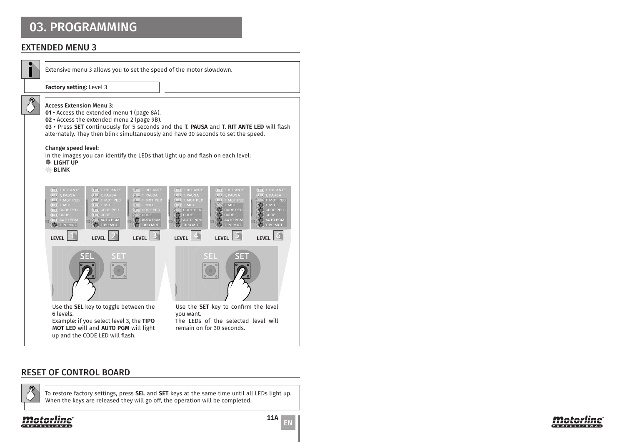## EXTENDED MENU 3

ì Extensive menu 3 allows you to set the speed of the motor slowdown. **Factory setting:** Level 3  $\Omega$ Access Extension Menu 3: **01 •** Access the extended menu 1 (page 8A). **02 •** Access the extended menu 2 (page 9B). 03 **•** Press **SET** continuously for 5 seconds and the **T. PAUSA** and **T. RIT ANTE LED** will flash alternately. They then blink simultaneously and have 30 seconds to set the speed. Change speed level: In the images you can identify the LEDs that light up and flash on each level: **EXAMPLE UP BLINK** SOSOS  $\overline{\mathbf{6}}$ **THE MOT.**  $\sqrt{2}$ **LEVEL LEVEL LEVEL LEVEL LEVEL LEVEL** $\mathsf{S}\mathsf{F}$ SEI SF. Use the **SEL** key to toggle between the Use the **SET** key to confirm the level 6 levels. you want. Example: if you select level 3, the **TIPO**  The LEDs of the selected level will **MOT LED** will and **AUTO PGM** will light remain on for 30 seconds. up and the CODE LED will flash.

## RESET OF CONTROL BOARD



To restore factory settings, press **SEL** and **SET** keys at the same time until all LEDs light up. When the keys are released they will go off, the operation will be completed.

# motorline®

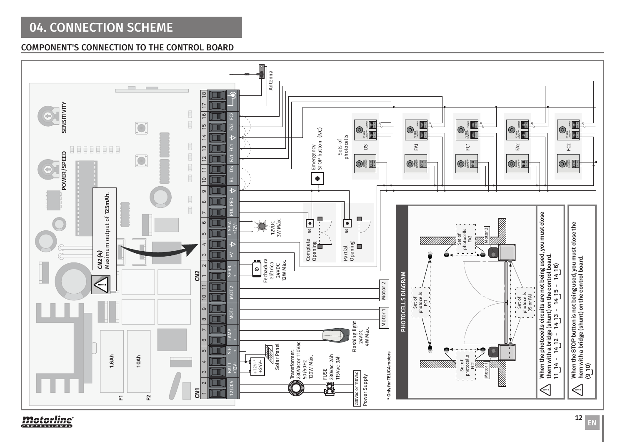# 04. CONNECTION SCHEME

## COMPONENT'S CONNECTION TO THE CONTROL BOARD



motorline